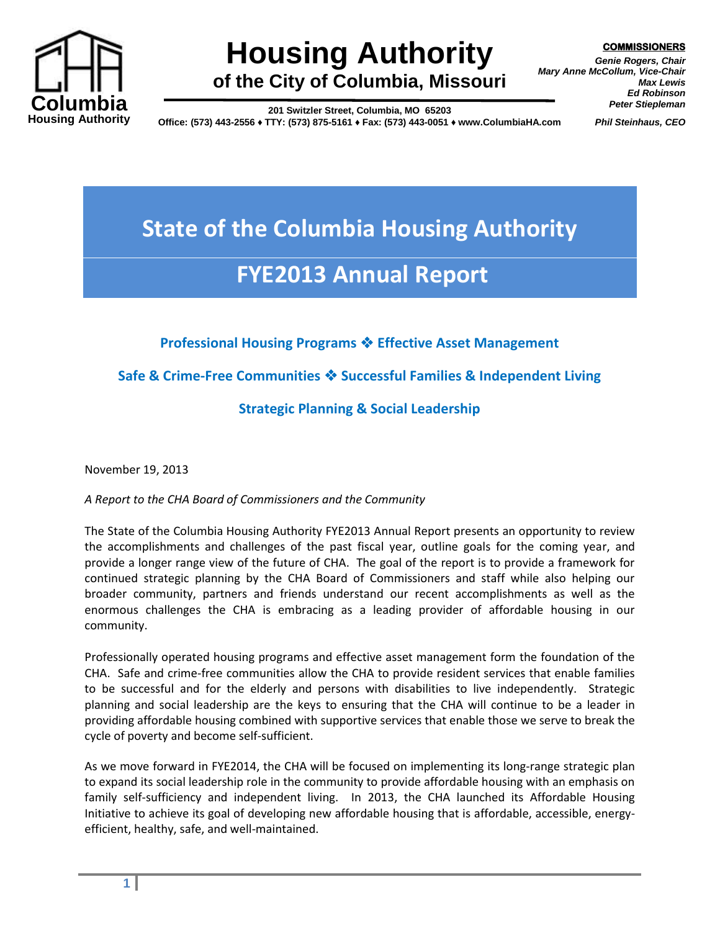

# **Housing Authority of the City of Columbia, Missouri**

**COMMISSIONERS**

*Genie Rogers, Chair Mary Anne McCollum, Vice-Chair Max Lewis Ed Robinson Peter Stiepleman*

**201 Switzler Street, Columbia, MO 65203**

**Office: (573) 443-2556 ♦ TTY: (573) 875-5161 ♦ Fax: (573) 443-0051 ♦ www.ColumbiaHA.com**

*Phil Steinhaus, CEO*

# **State of the Columbia Housing Authority FYE2013 Annual Report**

## **Professional Housing Programs Effective Asset Management**

## **Safe & Crime-Free Communities Successful Families & Independent Living**

## **Strategic Planning & Social Leadership**

November 19, 2013

*A Report to the CHA Board of Commissioners and the Community*

The State of the Columbia Housing Authority FYE2013 Annual Report presents an opportunity to review the accomplishments and challenges of the past fiscal year, outline goals for the coming year, and provide a longer range view of the future of CHA. The goal of the report is to provide a framework for continued strategic planning by the CHA Board of Commissioners and staff while also helping our broader community, partners and friends understand our recent accomplishments as well as the enormous challenges the CHA is embracing as a leading provider of affordable housing in our community.

Professionally operated housing programs and effective asset management form the foundation of the CHA. Safe and crime-free communities allow the CHA to provide resident services that enable families to be successful and for the elderly and persons with disabilities to live independently. Strategic planning and social leadership are the keys to ensuring that the CHA will continue to be a leader in providing affordable housing combined with supportive services that enable those we serve to break the cycle of poverty and become self-sufficient.

As we move forward in FYE2014, the CHA will be focused on implementing its long-range strategic plan to expand its social leadership role in the community to provide affordable housing with an emphasis on family self-sufficiency and independent living. In 2013, the CHA launched its Affordable Housing Initiative to achieve its goal of developing new affordable housing that is affordable, accessible, energyefficient, healthy, safe, and well-maintained.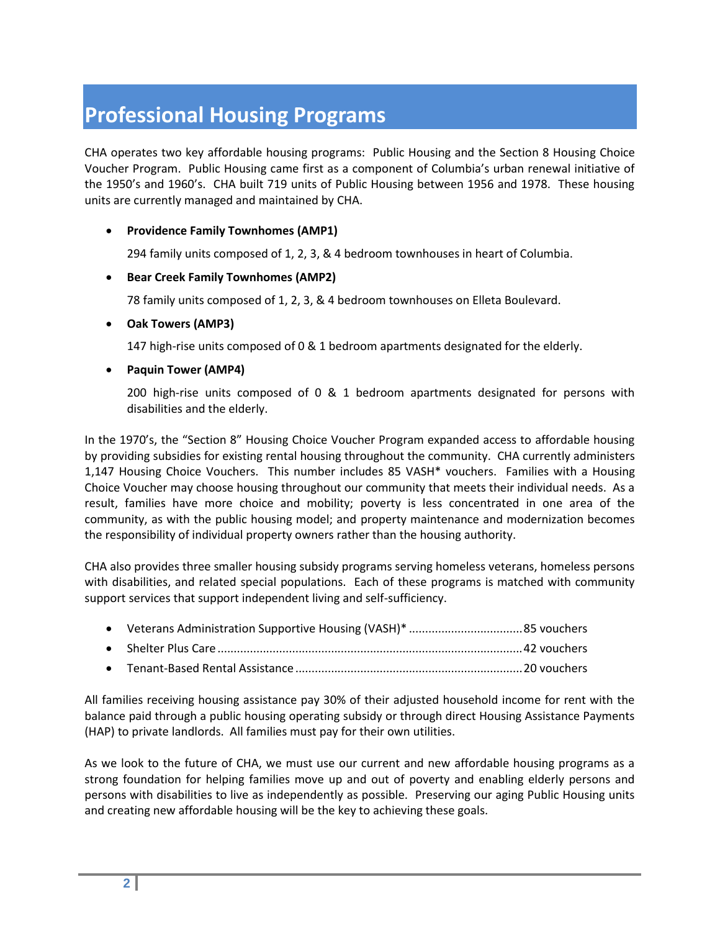# **Professional Housing Programs**

CHA operates two key affordable housing programs: Public Housing and the Section 8 Housing Choice Voucher Program. Public Housing came first as a component of Columbia's urban renewal initiative of the 1950's and 1960's. CHA built 719 units of Public Housing between 1956 and 1978. These housing units are currently managed and maintained by CHA.

#### **Providence Family Townhomes (AMP1)**

294 family units composed of 1, 2, 3, & 4 bedroom townhouses in heart of Columbia.

#### **Bear Creek Family Townhomes (AMP2)**

78 family units composed of 1, 2, 3, & 4 bedroom townhouses on Elleta Boulevard.

#### **Oak Towers (AMP3)**

147 high-rise units composed of 0 & 1 bedroom apartments designated for the elderly.

#### **Paquin Tower (AMP4)**

200 high-rise units composed of 0 & 1 bedroom apartments designated for persons with disabilities and the elderly.

In the 1970's, the "Section 8" Housing Choice Voucher Program expanded access to affordable housing by providing subsidies for existing rental housing throughout the community. CHA currently administers 1,147 Housing Choice Vouchers. This number includes 85 VASH\* vouchers. Families with a Housing Choice Voucher may choose housing throughout our community that meets their individual needs. As a result, families have more choice and mobility; poverty is less concentrated in one area of the community, as with the public housing model; and property maintenance and modernization becomes the responsibility of individual property owners rather than the housing authority.

CHA also provides three smaller housing subsidy programs serving homeless veterans, homeless persons with disabilities, and related special populations. Each of these programs is matched with community support services that support independent living and self-sufficiency.

All families receiving housing assistance pay 30% of their adjusted household income for rent with the balance paid through a public housing operating subsidy or through direct Housing Assistance Payments (HAP) to private landlords. All families must pay for their own utilities.

As we look to the future of CHA, we must use our current and new affordable housing programs as a strong foundation for helping families move up and out of poverty and enabling elderly persons and persons with disabilities to live as independently as possible. Preserving our aging Public Housing units and creating new affordable housing will be the key to achieving these goals.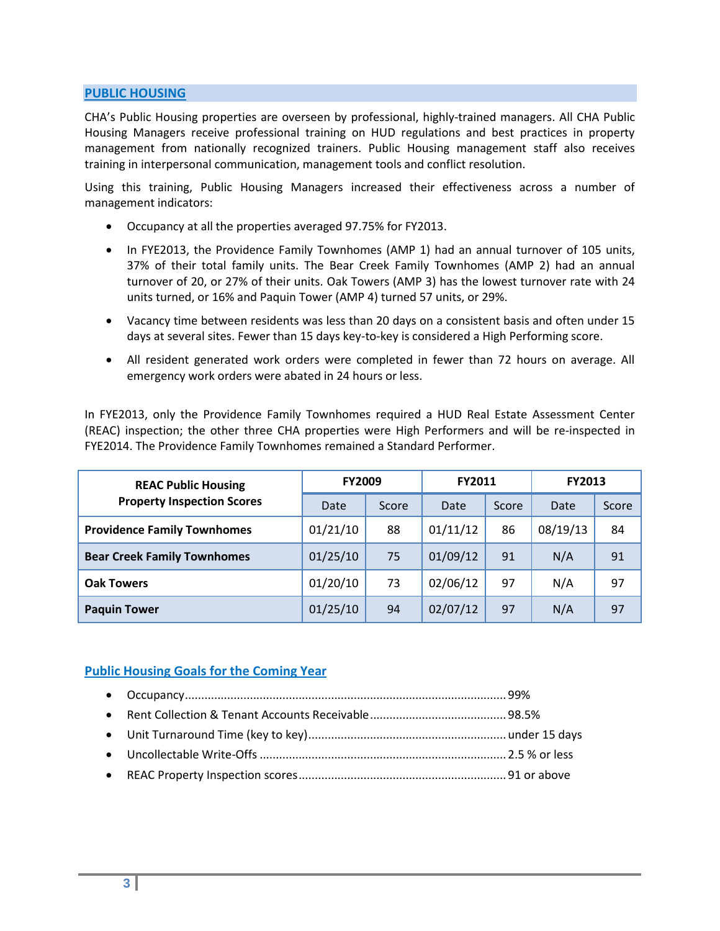#### **PUBLIC HOUSING**

CHA's Public Housing properties are overseen by professional, highly-trained managers. All CHA Public Housing Managers receive professional training on HUD regulations and best practices in property management from nationally recognized trainers. Public Housing management staff also receives training in interpersonal communication, management tools and conflict resolution.

Using this training, Public Housing Managers increased their effectiveness across a number of management indicators:

- Occupancy at all the properties averaged 97.75% for FY2013.
- In FYE2013, the Providence Family Townhomes (AMP 1) had an annual turnover of 105 units, 37% of their total family units. The Bear Creek Family Townhomes (AMP 2) had an annual turnover of 20, or 27% of their units. Oak Towers (AMP 3) has the lowest turnover rate with 24 units turned, or 16% and Paquin Tower (AMP 4) turned 57 units, or 29%.
- Vacancy time between residents was less than 20 days on a consistent basis and often under 15 days at several sites. Fewer than 15 days key-to-key is considered a High Performing score.
- All resident generated work orders were completed in fewer than 72 hours on average. All emergency work orders were abated in 24 hours or less.

In FYE2013, only the Providence Family Townhomes required a HUD Real Estate Assessment Center (REAC) inspection; the other three CHA properties were High Performers and will be re-inspected in FYE2014. The Providence Family Townhomes remained a Standard Performer.

| <b>REAC Public Housing</b>         | <b>FY2009</b> |       | FY2011   |       | <b>FY2013</b> |       |
|------------------------------------|---------------|-------|----------|-------|---------------|-------|
| <b>Property Inspection Scores</b>  | Date          | Score | Date     | Score | Date          | Score |
| <b>Providence Family Townhomes</b> | 01/21/10      | 88    | 01/11/12 | 86    | 08/19/13      | 84    |
| <b>Bear Creek Family Townhomes</b> | 01/25/10      | 75    | 01/09/12 | 91    | N/A           | 91    |
| <b>Oak Towers</b>                  | 01/20/10      | 73    | 02/06/12 | 97    | N/A           | 97    |
| <b>Paquin Tower</b>                | 01/25/10      | 94    | 02/07/12 | 97    | N/A           | 97    |

#### **Public Housing Goals for the Coming Year**

- Occupancy................................................................................................... 99%
- Rent Collection & Tenant Accounts Receivable.......................................... 98.5%
- Unit Turnaround Time (key to key).............................................................under 15 days
- Uncollectable Write-Offs............................................................................ 2.5 % or less
- REAC Property Inspection scores................................................................ 91 or above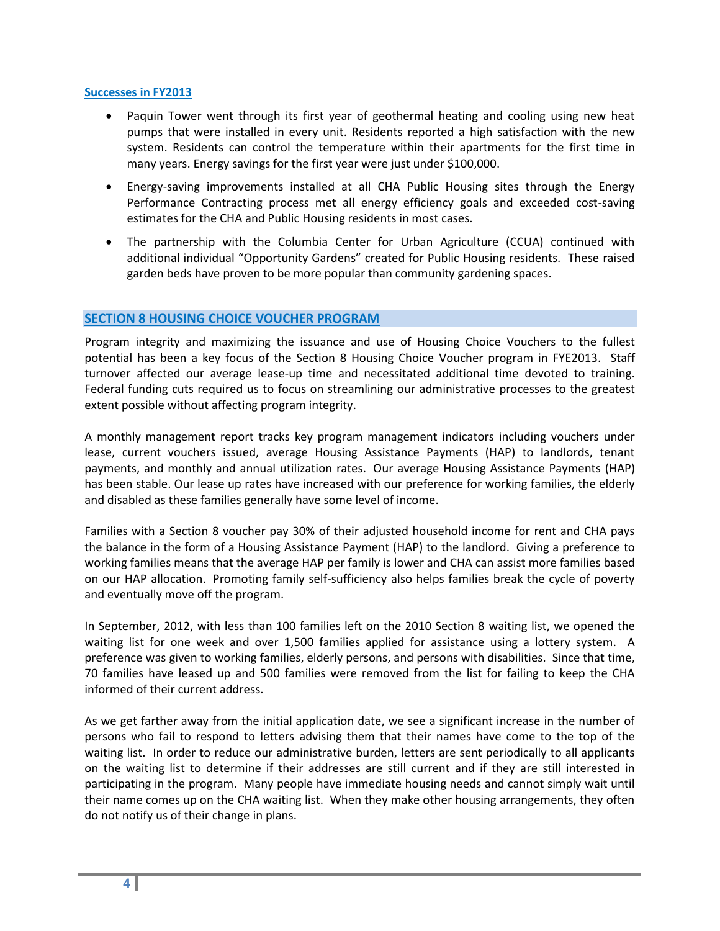#### **Successes in FY2013**

- Paquin Tower went through its first year of geothermal heating and cooling using new heat pumps that were installed in every unit. Residents reported a high satisfaction with the new system. Residents can control the temperature within their apartments for the first time in many years. Energy savings for the first year were just under \$100,000.
- Energy-saving improvements installed at all CHA Public Housing sites through the Energy Performance Contracting process met all energy efficiency goals and exceeded cost-saving estimates for the CHA and Public Housing residents in most cases.
- The partnership with the Columbia Center for Urban Agriculture (CCUA) continued with additional individual "Opportunity Gardens" created for Public Housing residents. These raised garden beds have proven to be more popular than community gardening spaces.

#### **SECTION 8 HOUSING CHOICE VOUCHER PROGRAM**

Program integrity and maximizing the issuance and use of Housing Choice Vouchers to the fullest potential has been a key focus of the Section 8 Housing Choice Voucher program in FYE2013. Staff turnover affected our average lease-up time and necessitated additional time devoted to training. Federal funding cuts required us to focus on streamlining our administrative processes to the greatest extent possible without affecting program integrity.

A monthly management report tracks key program management indicators including vouchers under lease, current vouchers issued, average Housing Assistance Payments (HAP) to landlords, tenant payments, and monthly and annual utilization rates. Our average Housing Assistance Payments (HAP) has been stable. Our lease up rates have increased with our preference for working families, the elderly and disabled as these families generally have some level of income.

Families with a Section 8 voucher pay 30% of their adjusted household income for rent and CHA pays the balance in the form of a Housing Assistance Payment (HAP) to the landlord. Giving a preference to working families means that the average HAP per family is lower and CHA can assist more families based on our HAP allocation. Promoting family self-sufficiency also helps families break the cycle of poverty and eventually move off the program.

In September, 2012, with less than 100 families left on the 2010 Section 8 waiting list, we opened the waiting list for one week and over 1,500 families applied for assistance using a lottery system. A preference was given to working families, elderly persons, and persons with disabilities. Since that time, 70 families have leased up and 500 families were removed from the list for failing to keep the CHA informed of their current address.

As we get farther away from the initial application date, we see a significant increase in the number of persons who fail to respond to letters advising them that their names have come to the top of the waiting list. In order to reduce our administrative burden, letters are sent periodically to all applicants on the waiting list to determine if their addresses are still current and if they are still interested in participating in the program. Many people have immediate housing needs and cannot simply wait until their name comes up on the CHA waiting list. When they make other housing arrangements, they often do not notify us of their change in plans.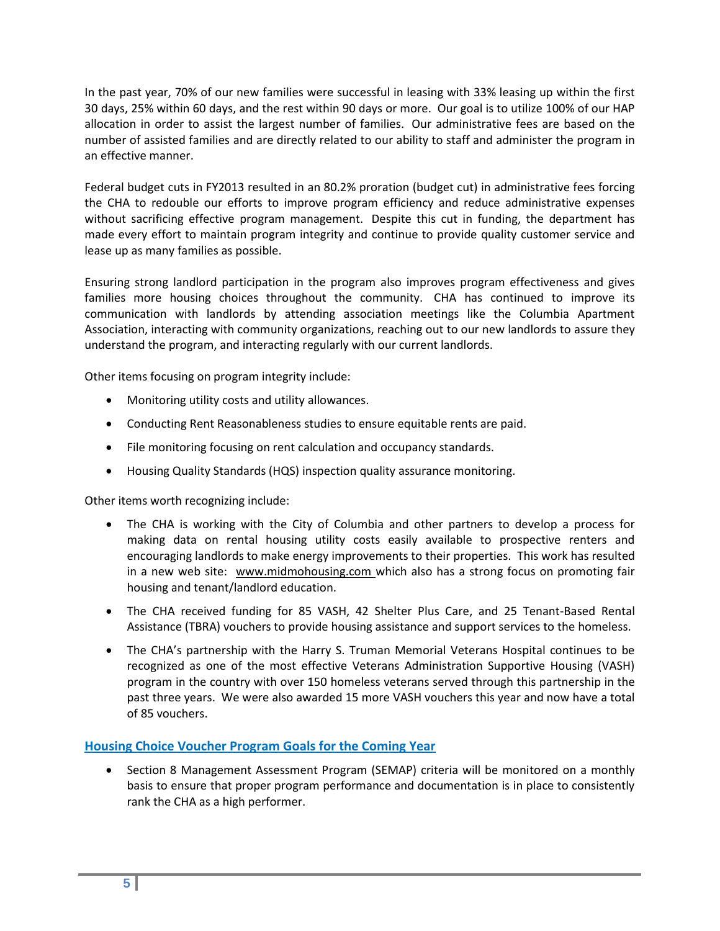In the past year, 70% of our new families were successful in leasing with 33% leasing up within the first 30 days, 25% within 60 days, and the rest within 90 days or more. Our goal is to utilize 100% of our HAP allocation in order to assist the largest number of families. Our administrative fees are based on the number of assisted families and are directly related to our ability to staff and administer the program in an effective manner.

Federal budget cuts in FY2013 resulted in an 80.2% proration (budget cut) in administrative fees forcing the CHA to redouble our efforts to improve program efficiency and reduce administrative expenses without sacrificing effective program management. Despite this cut in funding, the department has made every effort to maintain program integrity and continue to provide quality customer service and lease up as many families as possible.

Ensuring strong landlord participation in the program also improves program effectiveness and gives families more housing choices throughout the community. CHA has continued to improve its communication with landlords by attending association meetings like the Columbia Apartment Association, interacting with community organizations, reaching out to our new landlords to assure they understand the program, and interacting regularly with our current landlords.

Other items focusing on program integrity include:

- Monitoring utility costs and utility allowances.
- Conducting Rent Reasonableness studies to ensure equitable rents are paid.
- File monitoring focusing on rent calculation and occupancy standards.
- Housing Quality Standards (HQS) inspection quality assurance monitoring.

Other items worth recognizing include:

- The CHA is working with the City of Columbia and other partners to develop a process for making data on rental housing utility costs easily available to prospective renters and encouraging landlords to make energy improvements to their properties. This work has resulted in a new web site: www.midmohousing.com which also has a strong focus on promoting fair housing and tenant/landlord education.
- The CHA received funding for 85 VASH, 42 Shelter Plus Care, and 25 Tenant-Based Rental Assistance (TBRA) vouchers to provide housing assistance and support services to the homeless.
- The CHA's partnership with the Harry S. Truman Memorial Veterans Hospital continues to be recognized as one of the most effective Veterans Administration Supportive Housing (VASH) program in the country with over 150 homeless veterans served through this partnership in the past three years. We were also awarded 15 more VASH vouchers this year and now have a total of 85 vouchers.

#### **Housing Choice Voucher Program Goals for the Coming Year**

• Section 8 Management Assessment Program (SEMAP) criteria will be monitored on a monthly basis to ensure that proper program performance and documentation is in place to consistently rank the CHA as a high performer.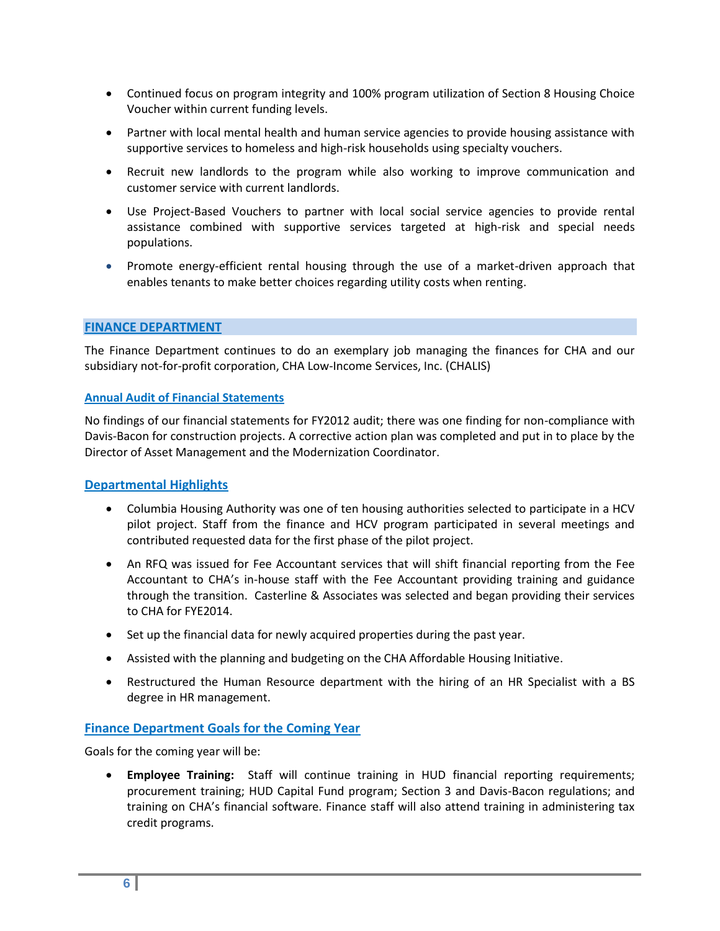- Continued focus on program integrity and 100% program utilization of Section 8 Housing Choice Voucher within current funding levels.
- Partner with local mental health and human service agencies to provide housing assistance with supportive services to homeless and high-risk households using specialty vouchers.
- Recruit new landlords to the program while also working to improve communication and customer service with current landlords.
- Use Project-Based Vouchers to partner with local social service agencies to provide rental assistance combined with supportive services targeted at high-risk and special needs populations.
- Promote energy-efficient rental housing through the use of a market-driven approach that enables tenants to make better choices regarding utility costs when renting.

#### **FINANCE DEPARTMENT**

The Finance Department continues to do an exemplary job managing the finances for CHA and our subsidiary not-for-profit corporation, CHA Low-Income Services, Inc. (CHALIS)

#### **Annual Audit of Financial Statements**

No findings of our financial statements for FY2012 audit; there was one finding for non-compliance with Davis-Bacon for construction projects. A corrective action plan was completed and put in to place by the Director of Asset Management and the Modernization Coordinator.

#### **Departmental Highlights**

- Columbia Housing Authority was one of ten housing authorities selected to participate in a HCV pilot project. Staff from the finance and HCV program participated in several meetings and contributed requested data for the first phase of the pilot project.
- An RFQ was issued for Fee Accountant services that will shift financial reporting from the Fee Accountant to CHA's in-house staff with the Fee Accountant providing training and guidance through the transition. Casterline & Associates was selected and began providing their services to CHA for FYE2014.
- Set up the financial data for newly acquired properties during the past year.
- Assisted with the planning and budgeting on the CHA Affordable Housing Initiative.
- Restructured the Human Resource department with the hiring of an HR Specialist with a BS degree in HR management.

#### **Finance Department Goals for the Coming Year**

Goals for the coming year will be:

 **Employee Training:** Staff will continue training in HUD financial reporting requirements; procurement training; HUD Capital Fund program; Section 3 and Davis-Bacon regulations; and training on CHA's financial software. Finance staff will also attend training in administering tax credit programs.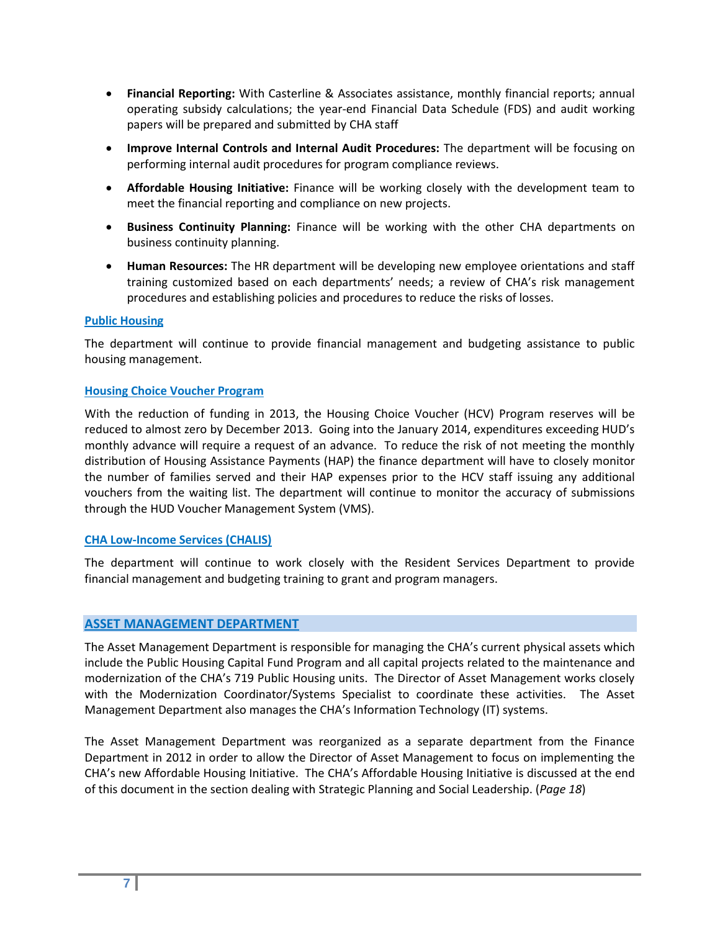- **Financial Reporting:** With Casterline & Associates assistance, monthly financial reports; annual operating subsidy calculations; the year-end Financial Data Schedule (FDS) and audit working papers will be prepared and submitted by CHA staff
- **Improve Internal Controls and Internal Audit Procedures:** The department will be focusing on performing internal audit procedures for program compliance reviews.
- **Affordable Housing Initiative:** Finance will be working closely with the development team to meet the financial reporting and compliance on new projects.
- **Business Continuity Planning:** Finance will be working with the other CHA departments on business continuity planning.
- **Human Resources:** The HR department will be developing new employee orientations and staff training customized based on each departments' needs; a review of CHA's risk management procedures and establishing policies and procedures to reduce the risks of losses.

#### **Public Housing**

The department will continue to provide financial management and budgeting assistance to public housing management.

#### **Housing Choice Voucher Program**

With the reduction of funding in 2013, the Housing Choice Voucher (HCV) Program reserves will be reduced to almost zero by December 2013. Going into the January 2014, expenditures exceeding HUD's monthly advance will require a request of an advance. To reduce the risk of not meeting the monthly distribution of Housing Assistance Payments (HAP) the finance department will have to closely monitor the number of families served and their HAP expenses prior to the HCV staff issuing any additional vouchers from the waiting list. The department will continue to monitor the accuracy of submissions through the HUD Voucher Management System (VMS).

#### **CHA Low-Income Services (CHALIS)**

The department will continue to work closely with the Resident Services Department to provide financial management and budgeting training to grant and program managers.

#### **ASSET MANAGEMENT DEPARTMENT**

The Asset Management Department is responsible for managing the CHA's current physical assets which include the Public Housing Capital Fund Program and all capital projects related to the maintenance and modernization of the CHA's 719 Public Housing units. The Director of Asset Management works closely with the Modernization Coordinator/Systems Specialist to coordinate these activities. The Asset Management Department also manages the CHA's Information Technology (IT) systems.

The Asset Management Department was reorganized as a separate department from the Finance Department in 2012 in order to allow the Director of Asset Management to focus on implementing the CHA's new Affordable Housing Initiative. The CHA's Affordable Housing Initiative is discussed at the end of this document in the section dealing with Strategic Planning and Social Leadership. (*Page 18*)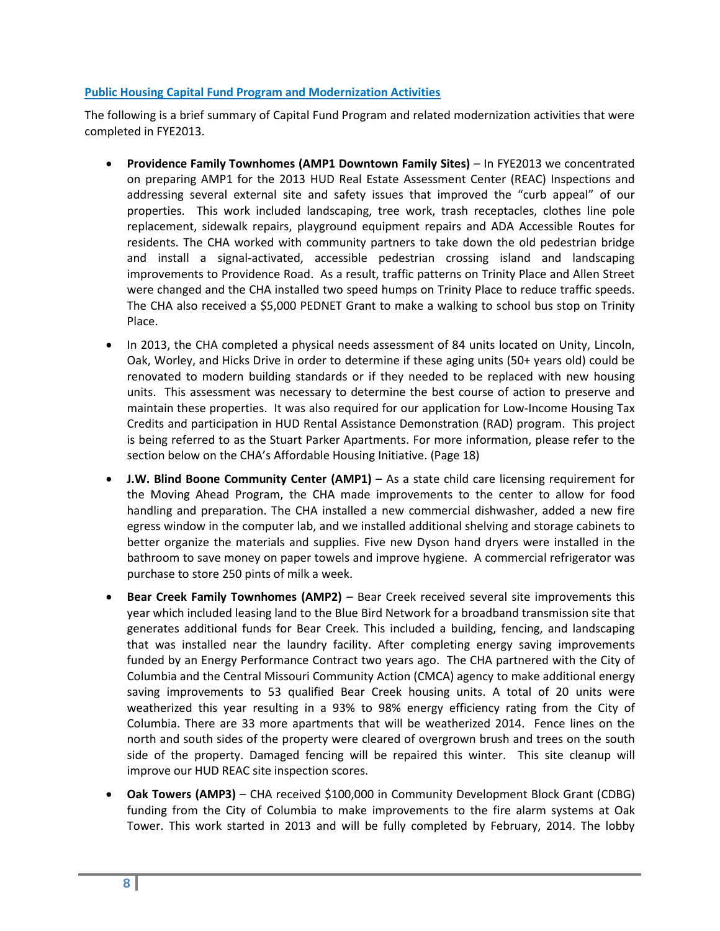#### **Public Housing Capital Fund Program and Modernization Activities**

The following is a brief summary of Capital Fund Program and related modernization activities that were completed in FYE2013.

- **Providence Family Townhomes (AMP1 Downtown Family Sites)** In FYE2013 we concentrated on preparing AMP1 for the 2013 HUD Real Estate Assessment Center (REAC) Inspections and addressing several external site and safety issues that improved the "curb appeal" of our properties. This work included landscaping, tree work, trash receptacles, clothes line pole replacement, sidewalk repairs, playground equipment repairs and ADA Accessible Routes for residents. The CHA worked with community partners to take down the old pedestrian bridge and install a signal-activated, accessible pedestrian crossing island and landscaping improvements to Providence Road. As a result, traffic patterns on Trinity Place and Allen Street were changed and the CHA installed two speed humps on Trinity Place to reduce traffic speeds. The CHA also received a \$5,000 PEDNET Grant to make a walking to school bus stop on Trinity Place.
- In 2013, the CHA completed a physical needs assessment of 84 units located on Unity, Lincoln, Oak, Worley, and Hicks Drive in order to determine if these aging units (50+ years old) could be renovated to modern building standards or if they needed to be replaced with new housing units. This assessment was necessary to determine the best course of action to preserve and maintain these properties. It was also required for our application for Low-Income Housing Tax Credits and participation in HUD Rental Assistance Demonstration (RAD) program. This project is being referred to as the Stuart Parker Apartments. For more information, please refer to the section below on the CHA's Affordable Housing Initiative. (Page 18)
- **J.W. Blind Boone Community Center (AMP1)** As a state child care licensing requirement for the Moving Ahead Program, the CHA made improvements to the center to allow for food handling and preparation. The CHA installed a new commercial dishwasher, added a new fire egress window in the computer lab, and we installed additional shelving and storage cabinets to better organize the materials and supplies. Five new Dyson hand dryers were installed in the bathroom to save money on paper towels and improve hygiene. A commercial refrigerator was purchase to store 250 pints of milk a week.
- **Bear Creek Family Townhomes (AMP2)** Bear Creek received several site improvements this year which included leasing land to the Blue Bird Network for a broadband transmission site that generates additional funds for Bear Creek. This included a building, fencing, and landscaping that was installed near the laundry facility. After completing energy saving improvements funded by an Energy Performance Contract two years ago. The CHA partnered with the City of Columbia and the Central Missouri Community Action (CMCA) agency to make additional energy saving improvements to 53 qualified Bear Creek housing units. A total of 20 units were weatherized this year resulting in a 93% to 98% energy efficiency rating from the City of Columbia. There are 33 more apartments that will be weatherized 2014. Fence lines on the north and south sides of the property were cleared of overgrown brush and trees on the south side of the property. Damaged fencing will be repaired this winter. This site cleanup will improve our HUD REAC site inspection scores.
- **Oak Towers (AMP3)** CHA received \$100,000 in Community Development Block Grant (CDBG) funding from the City of Columbia to make improvements to the fire alarm systems at Oak Tower. This work started in 2013 and will be fully completed by February, 2014. The lobby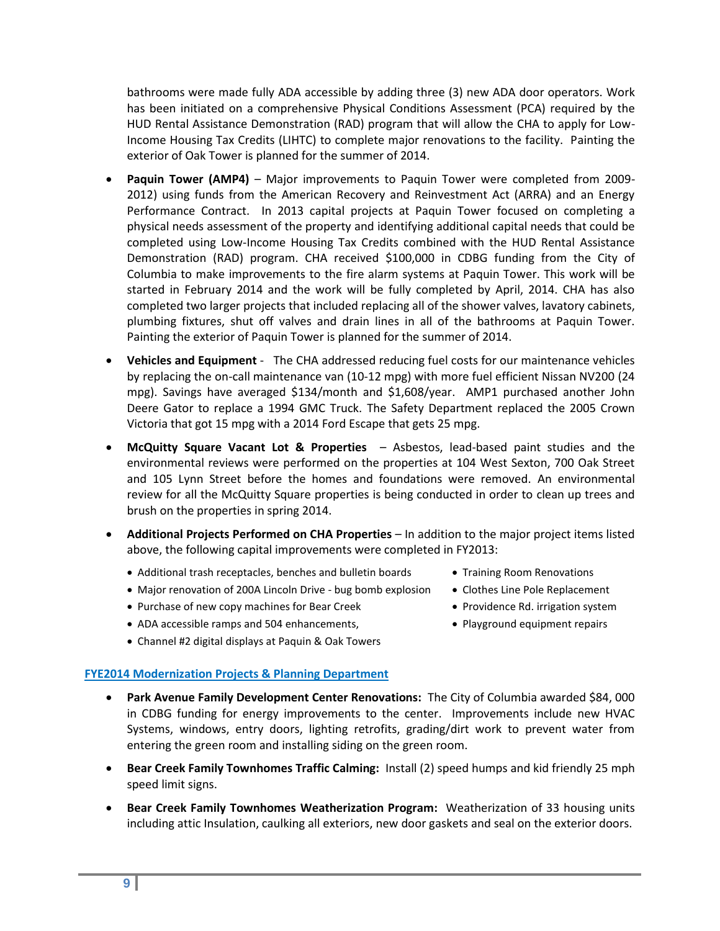bathrooms were made fully ADA accessible by adding three (3) new ADA door operators. Work has been initiated on a comprehensive Physical Conditions Assessment (PCA) required by the HUD Rental Assistance Demonstration (RAD) program that will allow the CHA to apply for Low-Income Housing Tax Credits (LIHTC) to complete major renovations to the facility. Painting the exterior of Oak Tower is planned for the summer of 2014.

- **Paquin Tower (AMP4)** Major improvements to Paquin Tower were completed from 2009- 2012) using funds from the American Recovery and Reinvestment Act (ARRA) and an Energy Performance Contract. In 2013 capital projects at Paquin Tower focused on completing a physical needs assessment of the property and identifying additional capital needs that could be completed using Low-Income Housing Tax Credits combined with the HUD Rental Assistance Demonstration (RAD) program. CHA received \$100,000 in CDBG funding from the City of Columbia to make improvements to the fire alarm systems at Paquin Tower. This work will be started in February 2014 and the work will be fully completed by April, 2014. CHA has also completed two larger projects that included replacing all of the shower valves, lavatory cabinets, plumbing fixtures, shut off valves and drain lines in all of the bathrooms at Paquin Tower. Painting the exterior of Paquin Tower is planned for the summer of 2014.
- **Vehicles and Equipment** The CHA addressed reducing fuel costs for our maintenance vehicles by replacing the on-call maintenance van (10-12 mpg) with more fuel efficient Nissan NV200 (24 mpg). Savings have averaged \$134/month and \$1,608/year. AMP1 purchased another John Deere Gator to replace a 1994 GMC Truck. The Safety Department replaced the 2005 Crown Victoria that got 15 mpg with a 2014 Ford Escape that gets 25 mpg.
- **McQuitty Square Vacant Lot & Properties**  Asbestos, lead-based paint studies and the environmental reviews were performed on the properties at 104 West Sexton, 700 Oak Street and 105 Lynn Street before the homes and foundations were removed. An environmental review for all the McQuitty Square properties is being conducted in order to clean up trees and brush on the properties in spring 2014.
- **Additional Projects Performed on CHA Properties** In addition to the major project items listed above, the following capital improvements were completed in FY2013:
	- Additional trash receptacles, benches and bulletin boards Training Room Renovations
	- Major renovation of 200A Lincoln Drive bug bomb explosion Clothes Line Pole Replacement
	- Purchase of new copy machines for Bear Creek **•** Providence Rd. irrigation system
	- ADA accessible ramps and 504 enhancements,  $\bullet$  Playground equipment repairs
	- Channel #2 digital displays at Paquin & Oak Towers

#### **FYE2014 Modernization Projects & Planning Department**

- **Park Avenue Family Development Center Renovations:** The City of Columbia awarded \$84, 000 in CDBG funding for energy improvements to the center. Improvements include new HVAC Systems, windows, entry doors, lighting retrofits, grading/dirt work to prevent water from entering the green room and installing siding on the green room.
- **Bear Creek Family Townhomes Traffic Calming:** Install (2) speed humps and kid friendly 25 mph speed limit signs.
- **Bear Creek Family Townhomes Weatherization Program:** Weatherization of 33 housing units including attic Insulation, caulking all exteriors, new door gaskets and seal on the exterior doors.
- 
- 
- 
-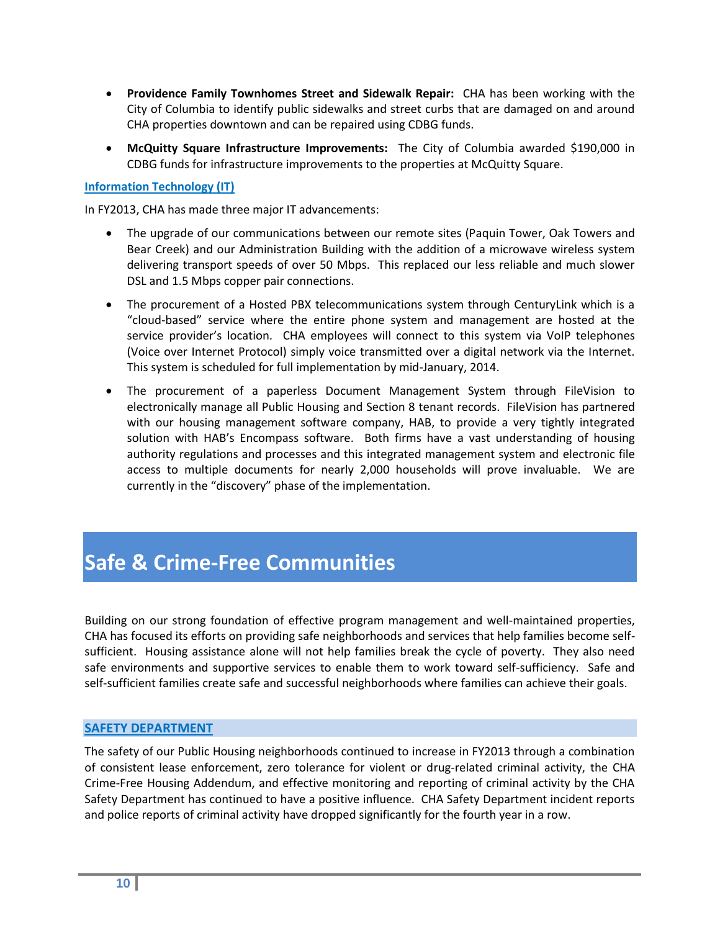- **Providence Family Townhomes Street and Sidewalk Repair:** CHA has been working with the City of Columbia to identify public sidewalks and street curbs that are damaged on and around CHA properties downtown and can be repaired using CDBG funds.
- **McQuitty Square Infrastructure Improvements:** The City of Columbia awarded \$190,000 in CDBG funds for infrastructure improvements to the properties at McQuitty Square.

#### **Information Technology (IT)**

In FY2013, CHA has made three major IT advancements:

- The upgrade of our communications between our remote sites (Paquin Tower, Oak Towers and Bear Creek) and our Administration Building with the addition of a microwave wireless system delivering transport speeds of over 50 Mbps. This replaced our less reliable and much slower DSL and 1.5 Mbps copper pair connections.
- The procurement of a Hosted PBX telecommunications system through CenturyLink which is a "cloud-based" service where the entire phone system and management are hosted at the service provider's location. CHA employees will connect to this system via VoIP telephones (Voice over Internet Protocol) simply voice transmitted over a digital network via the Internet. This system is scheduled for full implementation by mid-January, 2014.
- The procurement of a paperless Document Management System through FileVision to electronically manage all Public Housing and Section 8 tenant records. FileVision has partnered with our housing management software company, HAB, to provide a very tightly integrated solution with HAB's Encompass software. Both firms have a vast understanding of housing authority regulations and processes and this integrated management system and electronic file access to multiple documents for nearly 2,000 households will prove invaluable. We are currently in the "discovery" phase of the implementation.

# **Safe & Crime-Free Communities**

Building on our strong foundation of effective program management and well-maintained properties, CHA has focused its efforts on providing safe neighborhoods and services that help families become selfsufficient. Housing assistance alone will not help families break the cycle of poverty. They also need safe environments and supportive services to enable them to work toward self-sufficiency. Safe and self-sufficient families create safe and successful neighborhoods where families can achieve their goals.

#### **SAFETY DEPARTMENT**

The safety of our Public Housing neighborhoods continued to increase in FY2013 through a combination of consistent lease enforcement, zero tolerance for violent or drug-related criminal activity, the CHA Crime-Free Housing Addendum, and effective monitoring and reporting of criminal activity by the CHA Safety Department has continued to have a positive influence. CHA Safety Department incident reports and police reports of criminal activity have dropped significantly for the fourth year in a row.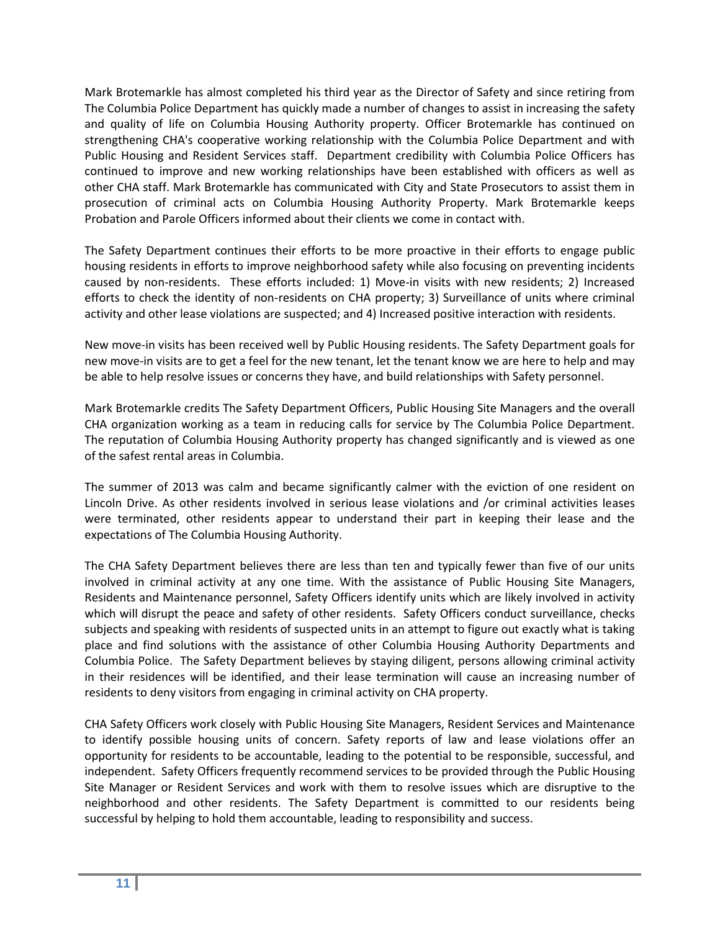Mark Brotemarkle has almost completed his third year as the Director of Safety and since retiring from The Columbia Police Department has quickly made a number of changes to assist in increasing the safety and quality of life on Columbia Housing Authority property. Officer Brotemarkle has continued on strengthening CHA's cooperative working relationship with the Columbia Police Department and with Public Housing and Resident Services staff. Department credibility with Columbia Police Officers has continued to improve and new working relationships have been established with officers as well as other CHA staff. Mark Brotemarkle has communicated with City and State Prosecutors to assist them in prosecution of criminal acts on Columbia Housing Authority Property. Mark Brotemarkle keeps Probation and Parole Officers informed about their clients we come in contact with.

The Safety Department continues their efforts to be more proactive in their efforts to engage public housing residents in efforts to improve neighborhood safety while also focusing on preventing incidents caused by non-residents. These efforts included: 1) Move-in visits with new residents; 2) Increased efforts to check the identity of non-residents on CHA property; 3) Surveillance of units where criminal activity and other lease violations are suspected; and 4) Increased positive interaction with residents.

New move-in visits has been received well by Public Housing residents. The Safety Department goals for new move-in visits are to get a feel for the new tenant, let the tenant know we are here to help and may be able to help resolve issues or concerns they have, and build relationships with Safety personnel.

Mark Brotemarkle credits The Safety Department Officers, Public Housing Site Managers and the overall CHA organization working as a team in reducing calls for service by The Columbia Police Department. The reputation of Columbia Housing Authority property has changed significantly and is viewed as one of the safest rental areas in Columbia.

The summer of 2013 was calm and became significantly calmer with the eviction of one resident on Lincoln Drive. As other residents involved in serious lease violations and /or criminal activities leases were terminated, other residents appear to understand their part in keeping their lease and the expectations of The Columbia Housing Authority.

The CHA Safety Department believes there are less than ten and typically fewer than five of our units involved in criminal activity at any one time. With the assistance of Public Housing Site Managers, Residents and Maintenance personnel, Safety Officers identify units which are likely involved in activity which will disrupt the peace and safety of other residents. Safety Officers conduct surveillance, checks subjects and speaking with residents of suspected units in an attempt to figure out exactly what is taking place and find solutions with the assistance of other Columbia Housing Authority Departments and Columbia Police. The Safety Department believes by staying diligent, persons allowing criminal activity in their residences will be identified, and their lease termination will cause an increasing number of residents to deny visitors from engaging in criminal activity on CHA property.

CHA Safety Officers work closely with Public Housing Site Managers, Resident Services and Maintenance to identify possible housing units of concern. Safety reports of law and lease violations offer an opportunity for residents to be accountable, leading to the potential to be responsible, successful, and independent. Safety Officers frequently recommend services to be provided through the Public Housing Site Manager or Resident Services and work with them to resolve issues which are disruptive to the neighborhood and other residents. The Safety Department is committed to our residents being successful by helping to hold them accountable, leading to responsibility and success.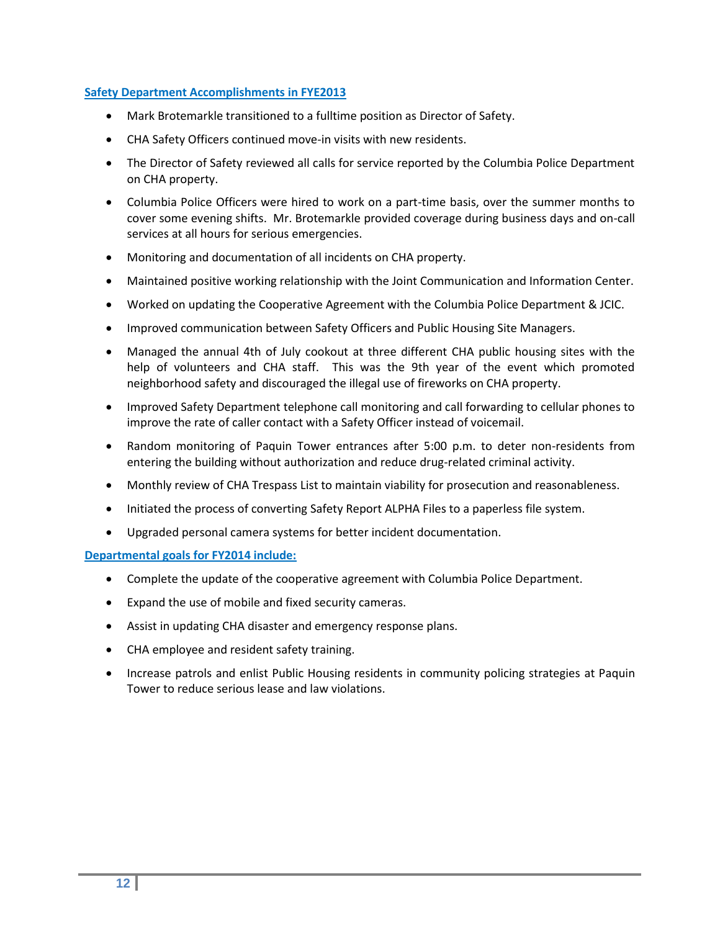#### **Safety Department Accomplishments in FYE2013**

- Mark Brotemarkle transitioned to a fulltime position as Director of Safety.
- CHA Safety Officers continued move-in visits with new residents.
- The Director of Safety reviewed all calls for service reported by the Columbia Police Department on CHA property.
- Columbia Police Officers were hired to work on a part-time basis, over the summer months to cover some evening shifts. Mr. Brotemarkle provided coverage during business days and on-call services at all hours for serious emergencies.
- Monitoring and documentation of all incidents on CHA property.
- Maintained positive working relationship with the Joint Communication and Information Center.
- Worked on updating the Cooperative Agreement with the Columbia Police Department & JCIC.
- **Improved communication between Safety Officers and Public Housing Site Managers.**
- Managed the annual 4th of July cookout at three different CHA public housing sites with the help of volunteers and CHA staff. This was the 9th year of the event which promoted neighborhood safety and discouraged the illegal use of fireworks on CHA property.
- Improved Safety Department telephone call monitoring and call forwarding to cellular phones to improve the rate of caller contact with a Safety Officer instead of voicemail.
- Random monitoring of Paquin Tower entrances after 5:00 p.m. to deter non-residents from entering the building without authorization and reduce drug-related criminal activity.
- Monthly review of CHA Trespass List to maintain viability for prosecution and reasonableness.
- Initiated the process of converting Safety Report ALPHA Files to a paperless file system.
- Upgraded personal camera systems for better incident documentation.

#### **Departmental goals for FY2014 include:**

- Complete the update of the cooperative agreement with Columbia Police Department.
- Expand the use of mobile and fixed security cameras.
- Assist in updating CHA disaster and emergency response plans.
- CHA employee and resident safety training.
- Increase patrols and enlist Public Housing residents in community policing strategies at Paquin Tower to reduce serious lease and law violations.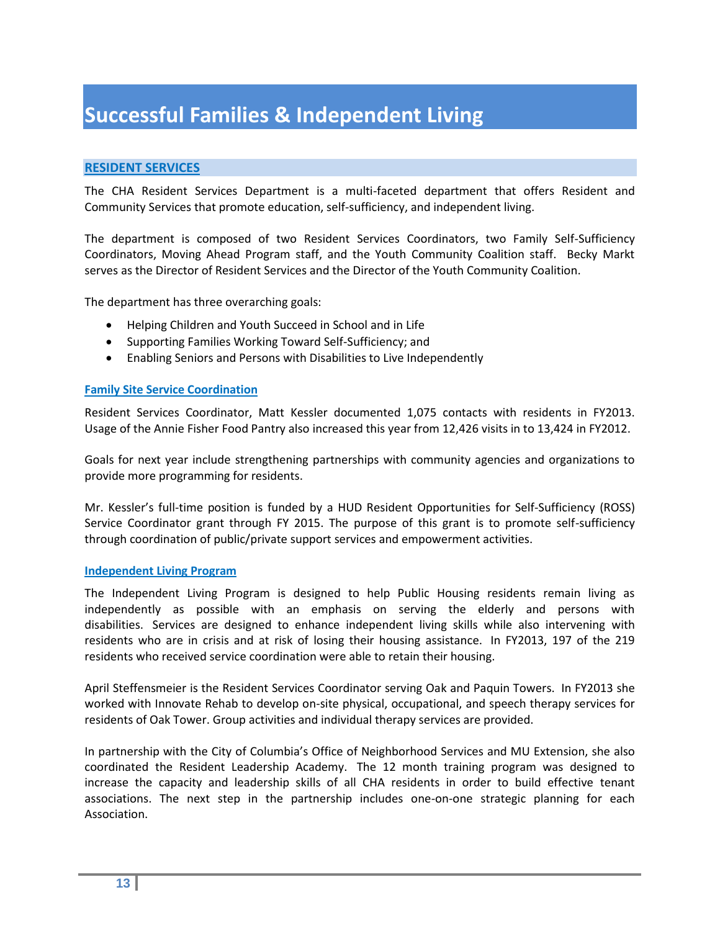# **Successful Families & Independent Living**

#### **RESIDENT SERVICES**

The CHA Resident Services Department is a multi-faceted department that offers Resident and Community Services that promote education, self-sufficiency, and independent living.

The department is composed of two Resident Services Coordinators, two Family Self-Sufficiency Coordinators, Moving Ahead Program staff, and the Youth Community Coalition staff. Becky Markt serves as the Director of Resident Services and the Director of the Youth Community Coalition.

The department has three overarching goals:

- Helping Children and Youth Succeed in School and in Life
- Supporting Families Working Toward Self-Sufficiency; and
- Enabling Seniors and Persons with Disabilities to Live Independently

#### **Family Site Service Coordination**

Resident Services Coordinator, Matt Kessler documented 1,075 contacts with residents in FY2013. Usage of the Annie Fisher Food Pantry also increased this year from 12,426 visits in to 13,424 in FY2012.

Goals for next year include strengthening partnerships with community agencies and organizations to provide more programming for residents.

Mr. Kessler's full-time position is funded by a HUD Resident Opportunities for Self-Sufficiency (ROSS) Service Coordinator grant through FY 2015. The purpose of this grant is to promote self-sufficiency through coordination of public/private support services and empowerment activities.

#### **Independent Living Program**

The Independent Living Program is designed to help Public Housing residents remain living as independently as possible with an emphasis on serving the elderly and persons with disabilities. Services are designed to enhance independent living skills while also intervening with residents who are in crisis and at risk of losing their housing assistance. In FY2013, 197 of the 219 residents who received service coordination were able to retain their housing.

April Steffensmeier is the Resident Services Coordinator serving Oak and Paquin Towers. In FY2013 she worked with Innovate Rehab to develop on-site physical, occupational, and speech therapy services for residents of Oak Tower. Group activities and individual therapy services are provided.

In partnership with the City of Columbia's Office of Neighborhood Services and MU Extension, she also coordinated the Resident Leadership Academy. The 12 month training program was designed to increase the capacity and leadership skills of all CHA residents in order to build effective tenant associations. The next step in the partnership includes one-on-one strategic planning for each Association.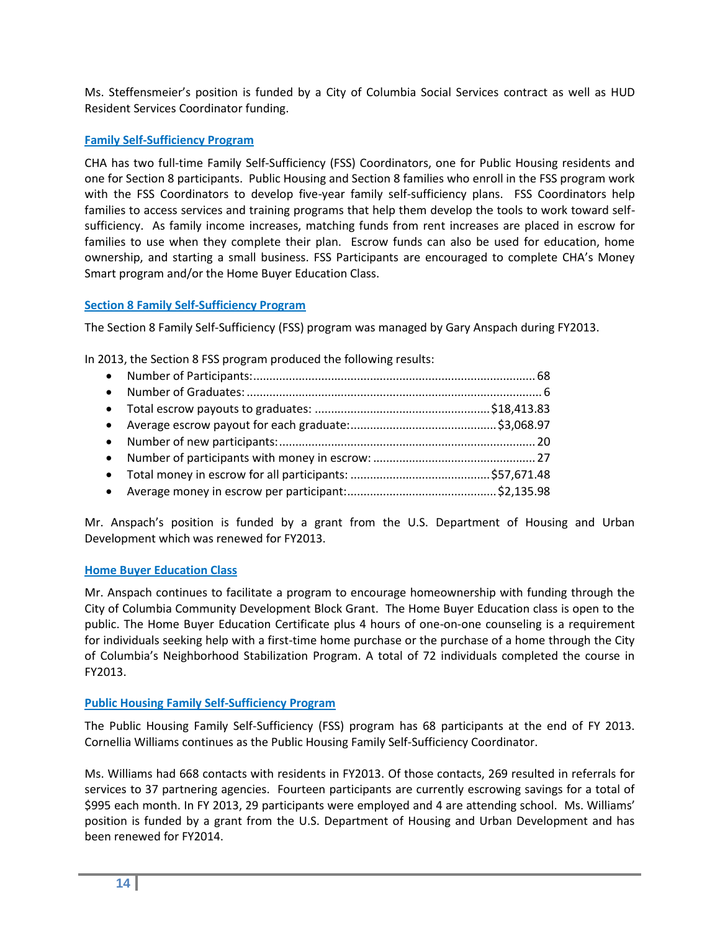Ms. Steffensmeier's position is funded by a City of Columbia Social Services contract as well as HUD Resident Services Coordinator funding.

#### **Family Self-Sufficiency Program**

CHA has two full-time Family Self-Sufficiency (FSS) Coordinators, one for Public Housing residents and one for Section 8 participants. Public Housing and Section 8 families who enroll in the FSS program work with the FSS Coordinators to develop five-year family self-sufficiency plans. FSS Coordinators help families to access services and training programs that help them develop the tools to work toward selfsufficiency. As family income increases, matching funds from rent increases are placed in escrow for families to use when they complete their plan. Escrow funds can also be used for education, home ownership, and starting a small business. FSS Participants are encouraged to complete CHA's Money Smart program and/or the Home Buyer Education Class.

#### **Section 8 Family Self-Sufficiency Program**

The Section 8 Family Self-Sufficiency (FSS) program was managed by Gary Anspach during FY2013.

In 2013, the Section 8 FSS program produced the following results:

Mr. Anspach's position is funded by a grant from the U.S. Department of Housing and Urban Development which was renewed for FY2013.

#### **Home Buyer Education Class**

Mr. Anspach continues to facilitate a program to encourage homeownership with funding through the City of Columbia Community Development Block Grant. The Home Buyer Education class is open to the public. The Home Buyer Education Certificate plus 4 hours of one-on-one counseling is a requirement for individuals seeking help with a first-time home purchase or the purchase of a home through the City of Columbia's Neighborhood Stabilization Program. A total of 72 individuals completed the course in FY2013.

#### **Public Housing Family Self-Sufficiency Program**

The Public Housing Family Self-Sufficiency (FSS) program has 68 participants at the end of FY 2013. Cornellia Williams continues as the Public Housing Family Self-Sufficiency Coordinator.

Ms. Williams had 668 contacts with residents in FY2013. Of those contacts, 269 resulted in referrals for services to 37 partnering agencies. Fourteen participants are currently escrowing savings for a total of \$995 each month. In FY 2013, 29 participants were employed and 4 are attending school. Ms. Williams' position is funded by a grant from the U.S. Department of Housing and Urban Development and has been renewed for FY2014.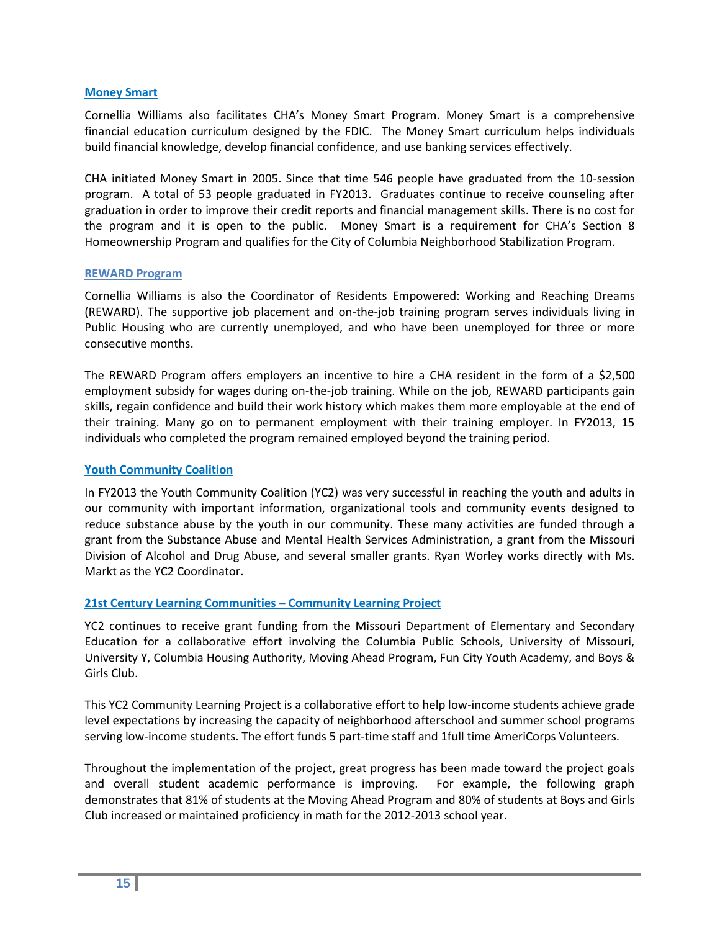#### **Money Smart**

Cornellia Williams also facilitates CHA's Money Smart Program. Money Smart is a comprehensive financial education curriculum designed by the FDIC. The Money Smart curriculum helps individuals build financial knowledge, develop financial confidence, and use banking services effectively.

CHA initiated Money Smart in 2005. Since that time 546 people have graduated from the 10-session program. A total of 53 people graduated in FY2013. Graduates continue to receive counseling after graduation in order to improve their credit reports and financial management skills. There is no cost for the program and it is open to the public. Money Smart is a requirement for CHA's Section 8 Homeownership Program and qualifies for the City of Columbia Neighborhood Stabilization Program.

#### **REWARD Program**

Cornellia Williams is also the Coordinator of Residents Empowered: Working and Reaching Dreams (REWARD). The supportive job placement and on-the-job training program serves individuals living in Public Housing who are currently unemployed, and who have been unemployed for three or more consecutive months.

The REWARD Program offers employers an incentive to hire a CHA resident in the form of a \$2,500 employment subsidy for wages during on-the-job training. While on the job, REWARD participants gain skills, regain confidence and build their work history which makes them more employable at the end of their training. Many go on to permanent employment with their training employer. In FY2013, 15 individuals who completed the program remained employed beyond the training period.

#### **Youth Community Coalition**

In FY2013 the Youth Community Coalition (YC2) was very successful in reaching the youth and adults in our community with important information, organizational tools and community events designed to reduce substance abuse by the youth in our community. These many activities are funded through a grant from the Substance Abuse and Mental Health Services Administration, a grant from the Missouri Division of Alcohol and Drug Abuse, and several smaller grants. Ryan Worley works directly with Ms. Markt as the YC2 Coordinator.

#### **21st Century Learning Communities – Community Learning Project**

YC2 continues to receive grant funding from the Missouri Department of Elementary and Secondary Education for a collaborative effort involving the Columbia Public Schools, University of Missouri, University Y, Columbia Housing Authority, Moving Ahead Program, Fun City Youth Academy, and Boys & Girls Club.

This YC2 Community Learning Project is a collaborative effort to help low-income students achieve grade level expectations by increasing the capacity of neighborhood afterschool and summer school programs serving low-income students. The effort funds 5 part-time staff and 1full time AmeriCorps Volunteers.

Throughout the implementation of the project, great progress has been made toward the project goals and overall student academic performance is improving. For example, the following graph demonstrates that 81% of students at the Moving Ahead Program and 80% of students at Boys and Girls Club increased or maintained proficiency in math for the 2012-2013 school year.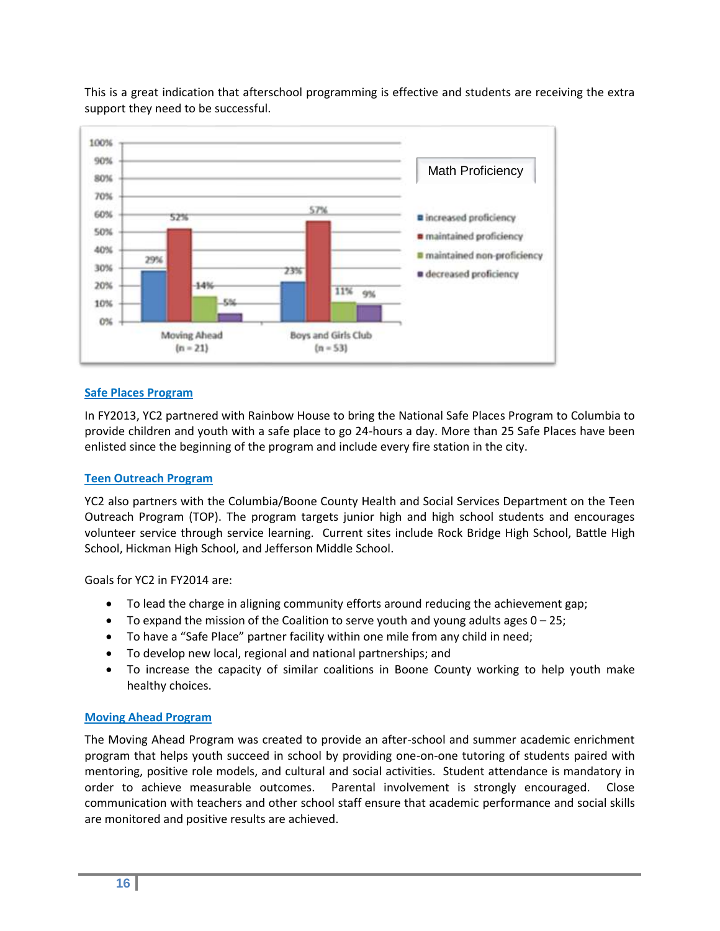

This is a great indication that afterschool programming is effective and students are receiving the extra support they need to be successful.

#### **Safe Places Program**

In FY2013, YC2 partnered with Rainbow House to bring the National Safe Places Program to Columbia to provide children and youth with a safe place to go 24-hours a day. More than 25 Safe Places have been enlisted since the beginning of the program and include every fire station in the city.

#### **Teen Outreach Program**

YC2 also partners with the Columbia/Boone County Health and Social Services Department on the Teen Outreach Program (TOP). The program targets junior high and high school students and encourages volunteer service through service learning. Current sites include Rock Bridge High School, Battle High School, Hickman High School, and Jefferson Middle School.

Goals for YC2 in FY2014 are:

- To lead the charge in aligning community efforts around reducing the achievement gap;
- $\bullet$  To expand the mission of the Coalition to serve youth and young adults ages  $0-25$ ;
- To have a "Safe Place" partner facility within one mile from any child in need;
- To develop new local, regional and national partnerships; and
- To increase the capacity of similar coalitions in Boone County working to help youth make healthy choices.

#### **Moving Ahead Program**

The Moving Ahead Program was created to provide an after-school and summer academic enrichment program that helps youth succeed in school by providing one-on-one tutoring of students paired with mentoring, positive role models, and cultural and social activities. Student attendance is mandatory in order to achieve measurable outcomes. Parental involvement is strongly encouraged. Close communication with teachers and other school staff ensure that academic performance and social skills are monitored and positive results are achieved.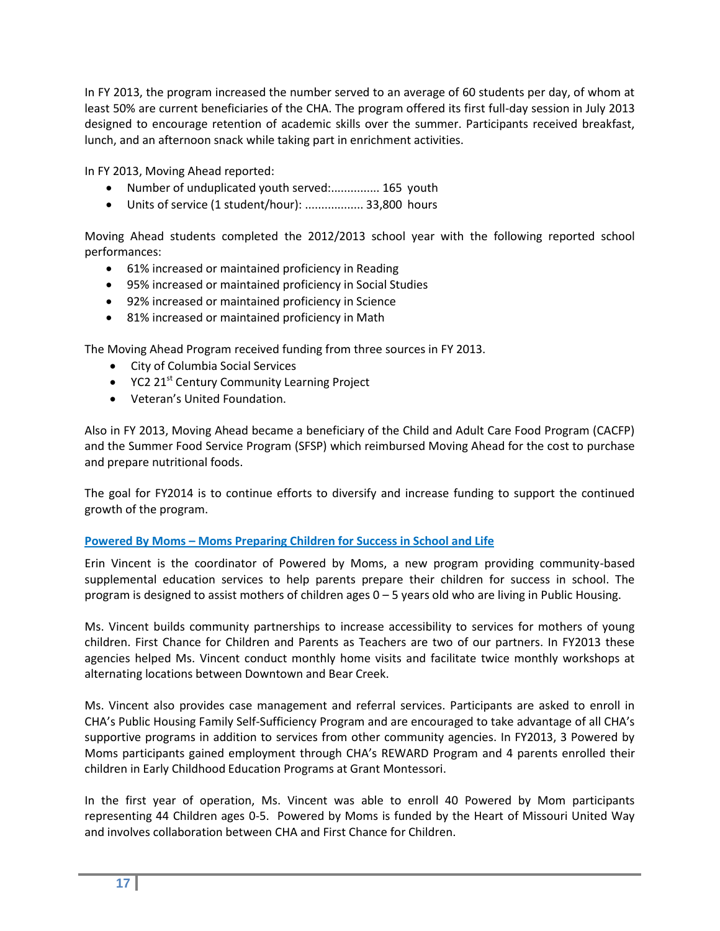In FY 2013, the program increased the number served to an average of 60 students per day, of whom at least 50% are current beneficiaries of the CHA. The program offered its first full-day session in July 2013 designed to encourage retention of academic skills over the summer. Participants received breakfast, lunch, and an afternoon snack while taking part in enrichment activities.

In FY 2013, Moving Ahead reported:

- Number of unduplicated youth served:............... 165 youth
- Units of service (1 student/hour): .................. 33,800 hours

Moving Ahead students completed the 2012/2013 school year with the following reported school performances:

- 61% increased or maintained proficiency in Reading
- 95% increased or maintained proficiency in Social Studies
- 92% increased or maintained proficiency in Science
- 81% increased or maintained proficiency in Math

The Moving Ahead Program received funding from three sources in FY 2013.

- City of Columbia Social Services
- $\bullet$  YC2 21<sup>st</sup> Century Community Learning Project
- Veteran's United Foundation.

Also in FY 2013, Moving Ahead became a beneficiary of the Child and Adult Care Food Program (CACFP) and the Summer Food Service Program (SFSP) which reimbursed Moving Ahead for the cost to purchase and prepare nutritional foods.

The goal for FY2014 is to continue efforts to diversify and increase funding to support the continued growth of the program.

#### **Powered By Moms – Moms Preparing Children for Success in School and Life**

Erin Vincent is the coordinator of Powered by Moms, a new program providing community-based supplemental education services to help parents prepare their children for success in school. The program is designed to assist mothers of children ages 0 – 5 years old who are living in Public Housing.

Ms. Vincent builds community partnerships to increase accessibility to services for mothers of young children. First Chance for Children and Parents as Teachers are two of our partners. In FY2013 these agencies helped Ms. Vincent conduct monthly home visits and facilitate twice monthly workshops at alternating locations between Downtown and Bear Creek.

Ms. Vincent also provides case management and referral services. Participants are asked to enroll in CHA's Public Housing Family Self-Sufficiency Program and are encouraged to take advantage of all CHA's supportive programs in addition to services from other community agencies. In FY2013, 3 Powered by Moms participants gained employment through CHA's REWARD Program and 4 parents enrolled their children in Early Childhood Education Programs at Grant Montessori.

In the first year of operation, Ms. Vincent was able to enroll 40 Powered by Mom participants representing 44 Children ages 0-5. Powered by Moms is funded by the Heart of Missouri United Way and involves collaboration between CHA and First Chance for Children.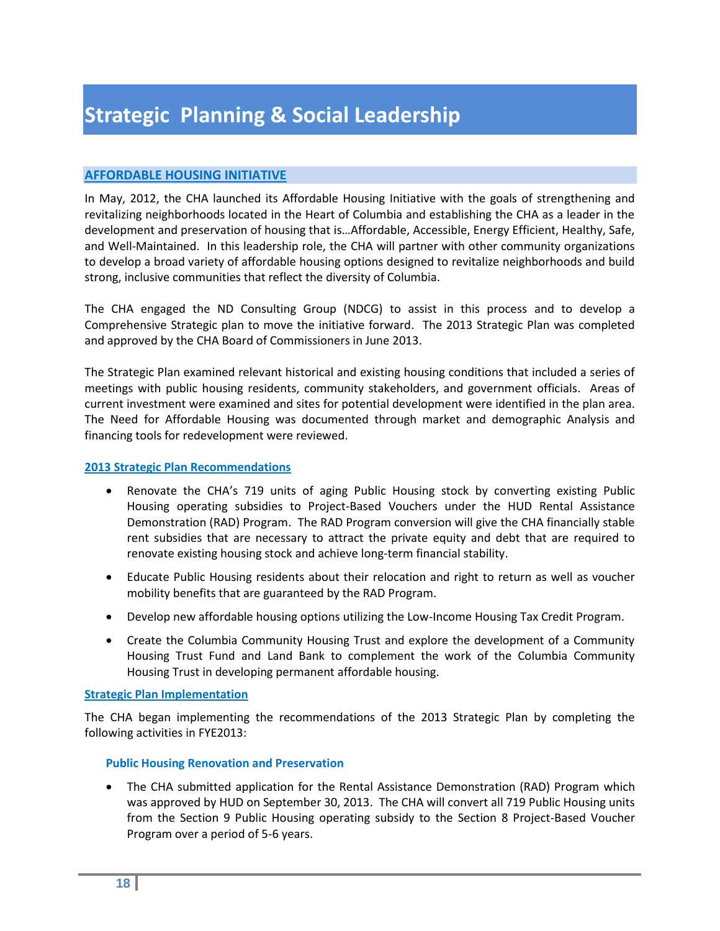#### **AFFORDABLE HOUSING INITIATIVE**

In May, 2012, the CHA launched its Affordable Housing Initiative with the goals of strengthening and revitalizing neighborhoods located in the Heart of Columbia and establishing the CHA as a leader in the development and preservation of housing that is…Affordable, Accessible, Energy Efficient, Healthy, Safe, and Well-Maintained. In this leadership role, the CHA will partner with other community organizations to develop a broad variety of affordable housing options designed to revitalize neighborhoods and build strong, inclusive communities that reflect the diversity of Columbia.

The CHA engaged the ND Consulting Group (NDCG) to assist in this process and to develop a Comprehensive Strategic plan to move the initiative forward. The 2013 Strategic Plan was completed and approved by the CHA Board of Commissioners in June 2013.

The Strategic Plan examined relevant historical and existing housing conditions that included a series of meetings with public housing residents, community stakeholders, and government officials. Areas of current investment were examined and sites for potential development were identified in the plan area. The Need for Affordable Housing was documented through market and demographic Analysis and financing tools for redevelopment were reviewed.

#### **2013 Strategic Plan Recommendations**

- Renovate the CHA's 719 units of aging Public Housing stock by converting existing Public Housing operating subsidies to Project-Based Vouchers under the HUD Rental Assistance Demonstration (RAD) Program. The RAD Program conversion will give the CHA financially stable rent subsidies that are necessary to attract the private equity and debt that are required to renovate existing housing stock and achieve long-term financial stability.
- Educate Public Housing residents about their relocation and right to return as well as voucher mobility benefits that are guaranteed by the RAD Program.
- Develop new affordable housing options utilizing the Low-Income Housing Tax Credit Program.
- Create the Columbia Community Housing Trust and explore the development of a Community Housing Trust Fund and Land Bank to complement the work of the Columbia Community Housing Trust in developing permanent affordable housing.

#### **Strategic Plan Implementation**

The CHA began implementing the recommendations of the 2013 Strategic Plan by completing the following activities in FYE2013:

#### **Public Housing Renovation and Preservation**

 The CHA submitted application for the Rental Assistance Demonstration (RAD) Program which was approved by HUD on September 30, 2013. The CHA will convert all 719 Public Housing units from the Section 9 Public Housing operating subsidy to the Section 8 Project-Based Voucher Program over a period of 5-6 years.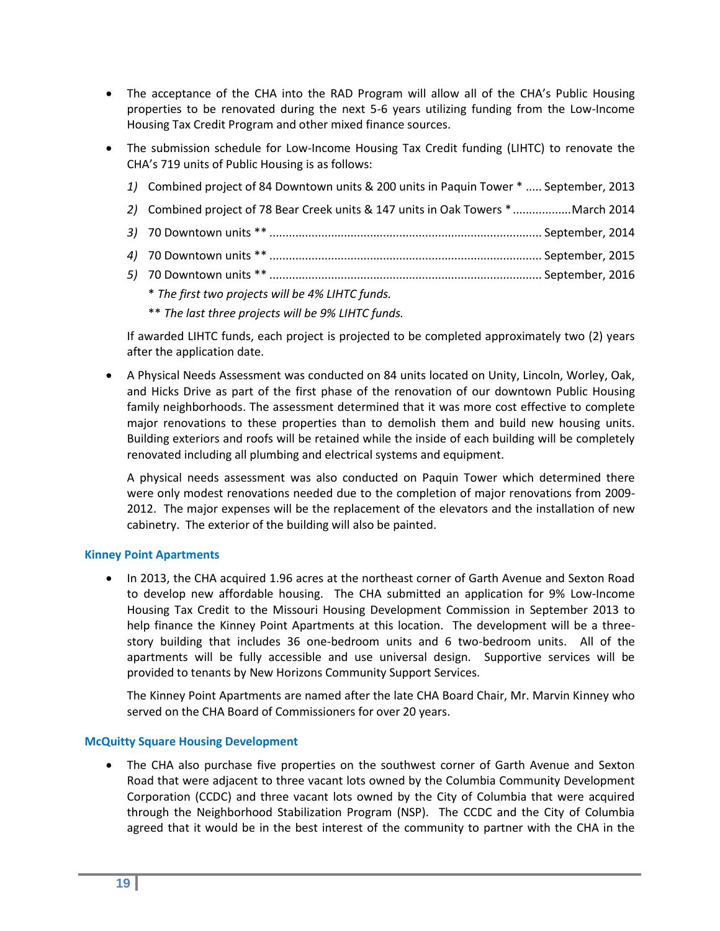- The acceptance of the CHA into the RAD Program will allow all of the CHA's Public Housing properties to be renovated during the next 5-6 years utilizing funding from the Low-Income Housing Tax Credit Program and other mixed finance sources.
- The submission schedule for Low-Income Housing Tax Credit funding (LIHTC) to renovate the CHA's 719 units of Public Housing is as follows:

| 1) Combined project of 84 Downtown units & 200 units in Paquin Tower *  September, 2013 |  |
|-----------------------------------------------------------------------------------------|--|
| 2) Combined project of 78 Bear Creek units & 147 units in Oak Towers * March 2014       |  |
|                                                                                         |  |
|                                                                                         |  |
|                                                                                         |  |
|                                                                                         |  |

- \* *The first two projects will be 4% LIHTC funds.*
- \*\* *The last three projects will be 9% LIHTC funds.*

If awarded LIHTC funds, each project is projected to be completed approximately two (2) years after the application date.

 A Physical Needs Assessment was conducted on 84 units located on Unity, Lincoln, Worley, Oak, and Hicks Drive as part of the first phase of the renovation of our downtown Public Housing family neighborhoods. The assessment determined that it was more cost effective to complete major renovations to these properties than to demolish them and build new housing units. Building exteriors and roofs will be retained while the inside of each building will be completely renovated including all plumbing and electrical systems and equipment.

A physical needs assessment was also conducted on Paquin Tower which determined there were only modest renovations needed due to the completion of major renovations from 2009- 2012. The major expenses will be the replacement of the elevators and the installation of new cabinetry. The exterior of the building will also be painted.

#### **Kinney Point Apartments**

 In 2013, the CHA acquired 1.96 acres at the northeast corner of Garth Avenue and Sexton Road to develop new affordable housing. The CHA submitted an application for 9% Low-Income Housing Tax Credit to the Missouri Housing Development Commission in September 2013 to help finance the Kinney Point Apartments at this location. The development will be a threestory building that includes 36 one-bedroom units and 6 two-bedroom units. All of the apartments will be fully accessible and use universal design. Supportive services will be provided to tenants by New Horizons Community Support Services.

The Kinney Point Apartments are named after the late CHA Board Chair, Mr. Marvin Kinney who served on the CHA Board of Commissioners for over 20 years.

#### **McQuitty Square Housing Development**

 The CHA also purchase five properties on the southwest corner of Garth Avenue and Sexton Road that were adjacent to three vacant lots owned by the Columbia Community Development Corporation (CCDC) and three vacant lots owned by the City of Columbia that were acquired through the Neighborhood Stabilization Program (NSP). The CCDC and the City of Columbia agreed that it would be in the best interest of the community to partner with the CHA in the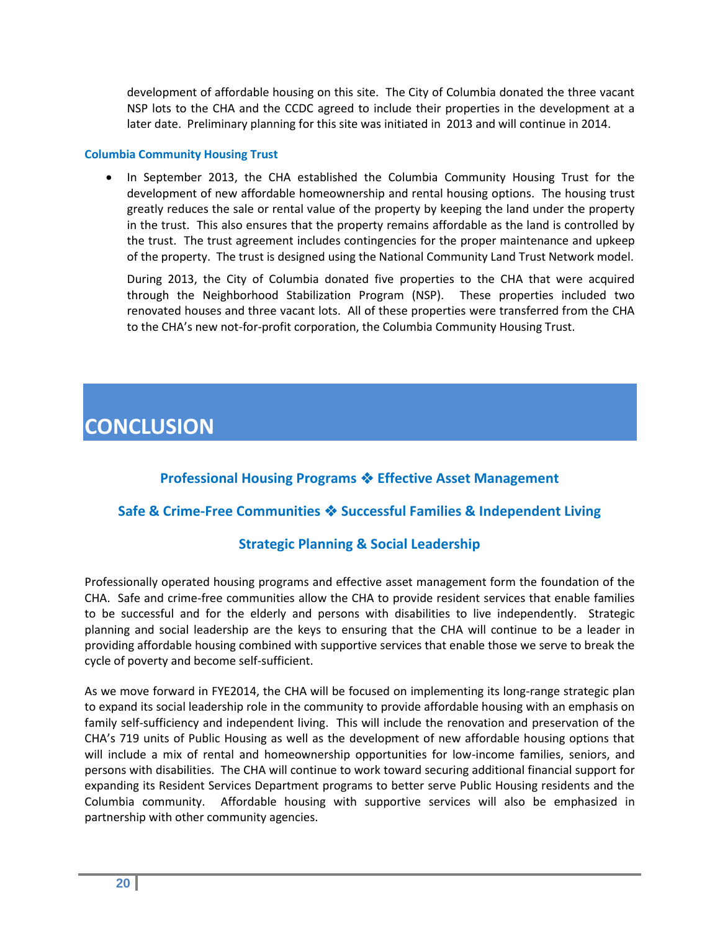development of affordable housing on this site. The City of Columbia donated the three vacant NSP lots to the CHA and the CCDC agreed to include their properties in the development at a later date. Preliminary planning for this site was initiated in 2013 and will continue in 2014.

#### **Columbia Community Housing Trust**

 In September 2013, the CHA established the Columbia Community Housing Trust for the development of new affordable homeownership and rental housing options. The housing trust greatly reduces the sale or rental value of the property by keeping the land under the property in the trust. This also ensures that the property remains affordable as the land is controlled by the trust. The trust agreement includes contingencies for the proper maintenance and upkeep of the property. The trust is designed using the National Community Land Trust Network model.

During 2013, the City of Columbia donated five properties to the CHA that were acquired through the Neighborhood Stabilization Program (NSP). These properties included two renovated houses and three vacant lots. All of these properties were transferred from the CHA to the CHA's new not-for-profit corporation, the Columbia Community Housing Trust.

# **CONCLUSION**

## **Professional Housing Programs Effective Asset Management**

## **Safe & Crime-Free Communities Successful Families & Independent Living**

### **Strategic Planning & Social Leadership**

Professionally operated housing programs and effective asset management form the foundation of the CHA. Safe and crime-free communities allow the CHA to provide resident services that enable families to be successful and for the elderly and persons with disabilities to live independently. Strategic planning and social leadership are the keys to ensuring that the CHA will continue to be a leader in providing affordable housing combined with supportive services that enable those we serve to break the cycle of poverty and become self-sufficient.

As we move forward in FYE2014, the CHA will be focused on implementing its long-range strategic plan to expand its social leadership role in the community to provide affordable housing with an emphasis on family self-sufficiency and independent living. This will include the renovation and preservation of the CHA's 719 units of Public Housing as well as the development of new affordable housing options that will include a mix of rental and homeownership opportunities for low-income families, seniors, and persons with disabilities. The CHA will continue to work toward securing additional financial support for expanding its Resident Services Department programs to better serve Public Housing residents and the Columbia community. Affordable housing with supportive services will also be emphasized in partnership with other community agencies.